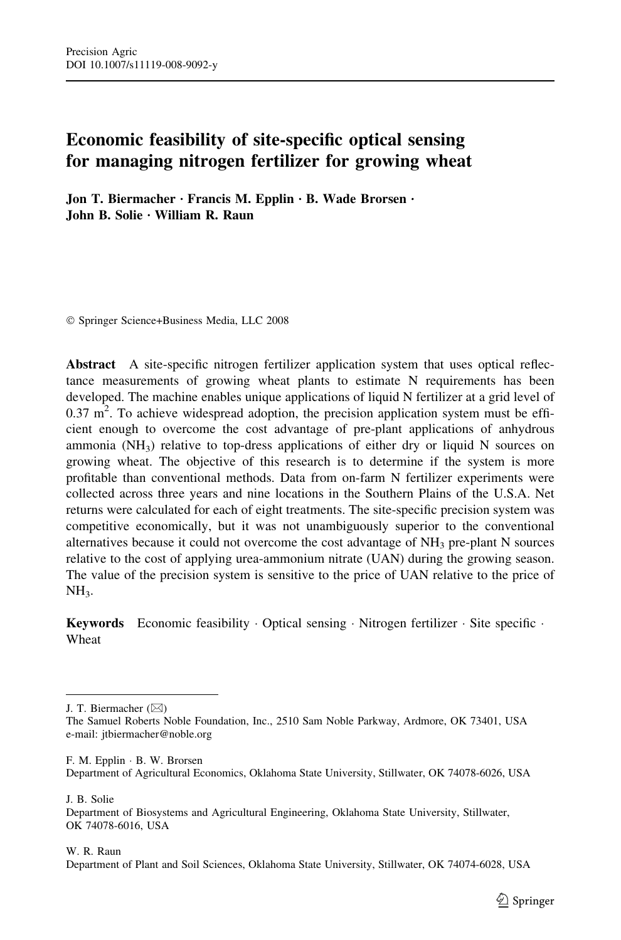# Economic feasibility of site-specific optical sensing for managing nitrogen fertilizer for growing wheat

Jon T. Biermacher · Francis M. Epplin · B. Wade Brorsen · John B. Solie · William R. Raun

Springer Science+Business Media, LLC 2008

Abstract A site-specific nitrogen fertilizer application system that uses optical reflectance measurements of growing wheat plants to estimate N requirements has been developed. The machine enables unique applications of liquid N fertilizer at a grid level of  $0.37 \text{ m}^2$ . To achieve widespread adoption, the precision application system must be efficient enough to overcome the cost advantage of pre-plant applications of anhydrous ammonia ( $NH<sub>3</sub>$ ) relative to top-dress applications of either dry or liquid N sources on growing wheat. The objective of this research is to determine if the system is more profitable than conventional methods. Data from on-farm N fertilizer experiments were collected across three years and nine locations in the Southern Plains of the U.S.A. Net returns were calculated for each of eight treatments. The site-specific precision system was competitive economically, but it was not unambiguously superior to the conventional alternatives because it could not overcome the cost advantage of  $NH_3$  pre-plant N sources relative to the cost of applying urea-ammonium nitrate (UAN) during the growing season. The value of the precision system is sensitive to the price of UAN relative to the price of  $NH<sub>3</sub>$ .

**Keywords** Economic feasibility Optical sensing  $\cdot$  Nitrogen fertilizer  $\cdot$  Site specific  $\cdot$ Wheat

J. T. Biermacher  $(\boxtimes)$ 

F. M. Epplin · B. W. Brorsen Department of Agricultural Economics, Oklahoma State University, Stillwater, OK 74078-6026, USA

J. B. Solie

Department of Biosystems and Agricultural Engineering, Oklahoma State University, Stillwater, OK 74078-6016, USA

W. R. Raun

Department of Plant and Soil Sciences, Oklahoma State University, Stillwater, OK 74074-6028, USA

The Samuel Roberts Noble Foundation, Inc., 2510 Sam Noble Parkway, Ardmore, OK 73401, USA e-mail: jtbiermacher@noble.org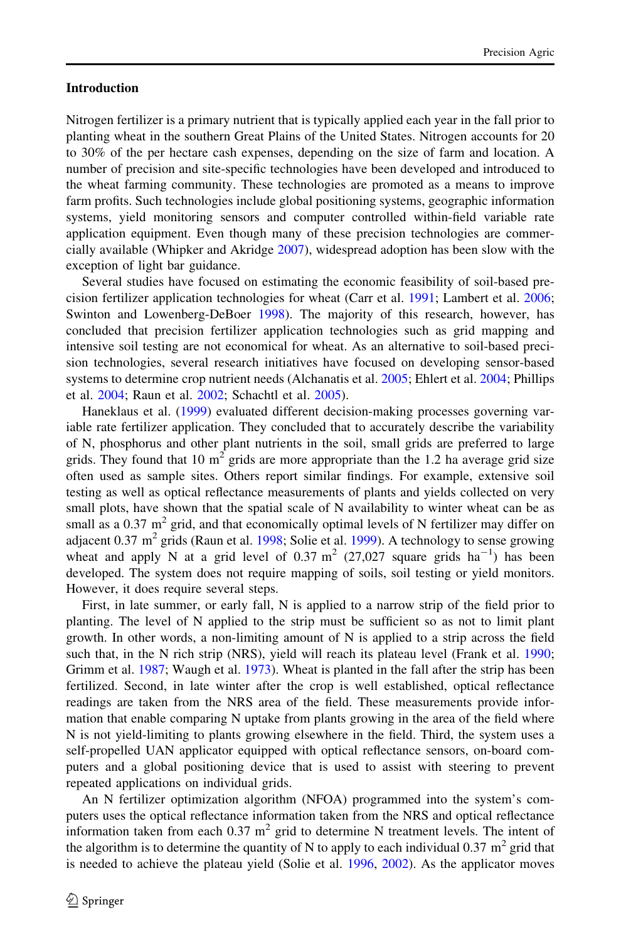## Introduction

Nitrogen fertilizer is a primary nutrient that is typically applied each year in the fall prior to planting wheat in the southern Great Plains of the United States. Nitrogen accounts for 20 to 30% of the per hectare cash expenses, depending on the size of farm and location. A number of precision and site-specific technologies have been developed and introduced to the wheat farming community. These technologies are promoted as a means to improve farm profits. Such technologies include global positioning systems, geographic information systems, yield monitoring sensors and computer controlled within-field variable rate application equipment. Even though many of these precision technologies are commercially available (Whipker and Akridge [2007](#page-17-0)), widespread adoption has been slow with the exception of light bar guidance.

Several studies have focused on estimating the economic feasibility of soil-based precision fertilizer application technologies for wheat (Carr et al. [1991](#page-16-0); Lambert et al. [2006;](#page-16-0) Swinton and Lowenberg-DeBoer [1998\)](#page-17-0). The majority of this research, however, has concluded that precision fertilizer application technologies such as grid mapping and intensive soil testing are not economical for wheat. As an alternative to soil-based precision technologies, several research initiatives have focused on developing sensor-based systems to determine crop nutrient needs (Alchanatis et al. [2005;](#page-16-0) Ehlert et al. [2004;](#page-16-0) Phillips et al. [2004](#page-17-0); Raun et al. [2002;](#page-17-0) Schachtl et al. [2005\)](#page-17-0).

Haneklaus et al. ([1999\)](#page-16-0) evaluated different decision-making processes governing variable rate fertilizer application. They concluded that to accurately describe the variability of N, phosphorus and other plant nutrients in the soil, small grids are preferred to large grids. They found that 10  $m<sup>2</sup>$  grids are more appropriate than the 1.2 ha average grid size often used as sample sites. Others report similar findings. For example, extensive soil testing as well as optical reflectance measurements of plants and yields collected on very small plots, have shown that the spatial scale of N availability to winter wheat can be as small as a 0.37  $m^2$  grid, and that economically optimal levels of N fertilizer may differ on adjacent 0.37 m<sup>2</sup> grids (Raun et al. [1998](#page-17-0); Solie et al. [1999\)](#page-17-0). A technology to sense growing wheat and apply N at a grid level of  $0.37 \text{ m}^2$  (27,027 square grids  $\text{ha}^{-1}$ ) has been developed. The system does not require mapping of soils, soil testing or yield monitors. However, it does require several steps.

First, in late summer, or early fall, N is applied to a narrow strip of the field prior to planting. The level of N applied to the strip must be sufficient so as not to limit plant growth. In other words, a non-limiting amount of N is applied to a strip across the field such that, in the N rich strip (NRS), yield will reach its plateau level (Frank et al. [1990;](#page-16-0) Grimm et al. [1987;](#page-16-0) Waugh et al. [1973](#page-17-0)). Wheat is planted in the fall after the strip has been fertilized. Second, in late winter after the crop is well established, optical reflectance readings are taken from the NRS area of the field. These measurements provide information that enable comparing N uptake from plants growing in the area of the field where N is not yield-limiting to plants growing elsewhere in the field. Third, the system uses a self-propelled UAN applicator equipped with optical reflectance sensors, on-board computers and a global positioning device that is used to assist with steering to prevent repeated applications on individual grids.

An N fertilizer optimization algorithm (NFOA) programmed into the system's computers uses the optical reflectance information taken from the NRS and optical reflectance information taken from each 0.37  $m<sup>2</sup>$  grid to determine N treatment levels. The intent of the algorithm is to determine the quantity of N to apply to each individual 0.37  $m^2$  grid that is needed to achieve the plateau yield (Solie et al. [1996,](#page-17-0) [2002](#page-17-0)). As the applicator moves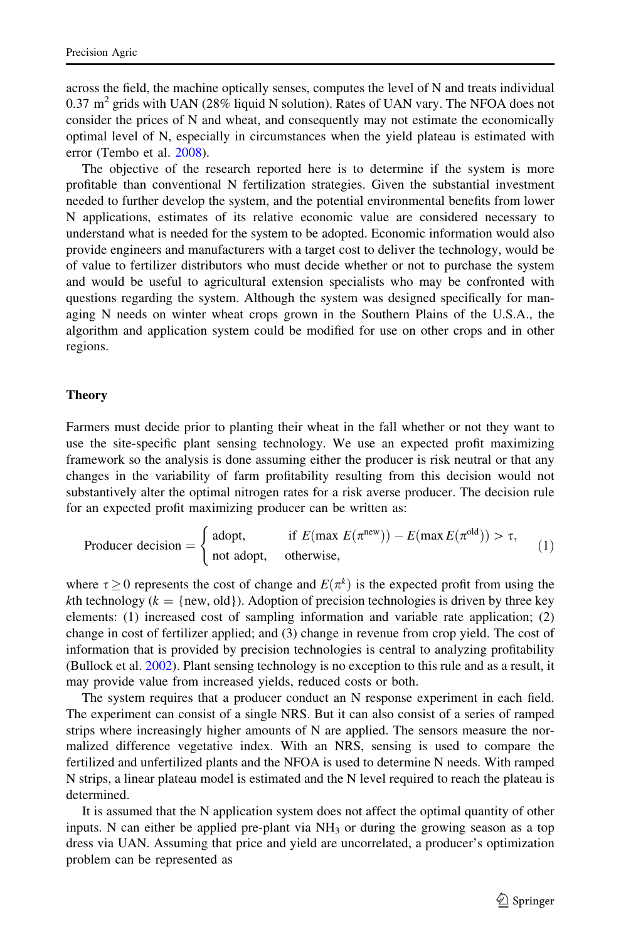across the field, the machine optically senses, computes the level of N and treats individual 0.37  $m^2$  grids with UAN (28% liquid N solution). Rates of UAN vary. The NFOA does not consider the prices of N and wheat, and consequently may not estimate the economically optimal level of N, especially in circumstances when the yield plateau is estimated with error (Tembo et al. [2008\)](#page-17-0).

The objective of the research reported here is to determine if the system is more profitable than conventional N fertilization strategies. Given the substantial investment needed to further develop the system, and the potential environmental benefits from lower N applications, estimates of its relative economic value are considered necessary to understand what is needed for the system to be adopted. Economic information would also provide engineers and manufacturers with a target cost to deliver the technology, would be of value to fertilizer distributors who must decide whether or not to purchase the system and would be useful to agricultural extension specialists who may be confronted with questions regarding the system. Although the system was designed specifically for managing N needs on winter wheat crops grown in the Southern Plains of the U.S.A., the algorithm and application system could be modified for use on other crops and in other regions.

## Theory

Farmers must decide prior to planting their wheat in the fall whether or not they want to use the site-specific plant sensing technology. We use an expected profit maximizing framework so the analysis is done assuming either the producer is risk neutral or that any changes in the variability of farm profitability resulting from this decision would not substantively alter the optimal nitrogen rates for a risk averse producer. The decision rule for an expected profit maximizing producer can be written as:

$$
\text{Product decision} = \begin{cases} \text{adopt,} & \text{if } E(\max E(\pi^{\text{new}})) - E(\max E(\pi^{\text{old}})) > \tau, \\ \text{not adopt,} & \text{otherwise,} \end{cases} \tag{1}
$$

where  $\tau \ge 0$  represents the cost of change and  $E(\pi^k)$  is the expected profit from using the kth technology ( $k = \{new, old\}$ ). Adoption of precision technologies is driven by three key elements: (1) increased cost of sampling information and variable rate application; (2) change in cost of fertilizer applied; and (3) change in revenue from crop yield. The cost of information that is provided by precision technologies is central to analyzing profitability (Bullock et al. [2002\)](#page-16-0). Plant sensing technology is no exception to this rule and as a result, it may provide value from increased yields, reduced costs or both.

The system requires that a producer conduct an N response experiment in each field. The experiment can consist of a single NRS. But it can also consist of a series of ramped strips where increasingly higher amounts of N are applied. The sensors measure the normalized difference vegetative index. With an NRS, sensing is used to compare the fertilized and unfertilized plants and the NFOA is used to determine N needs. With ramped N strips, a linear plateau model is estimated and the N level required to reach the plateau is determined.

It is assumed that the N application system does not affect the optimal quantity of other inputs. N can either be applied pre-plant via  $NH<sub>3</sub>$  or during the growing season as a top dress via UAN. Assuming that price and yield are uncorrelated, a producer's optimization problem can be represented as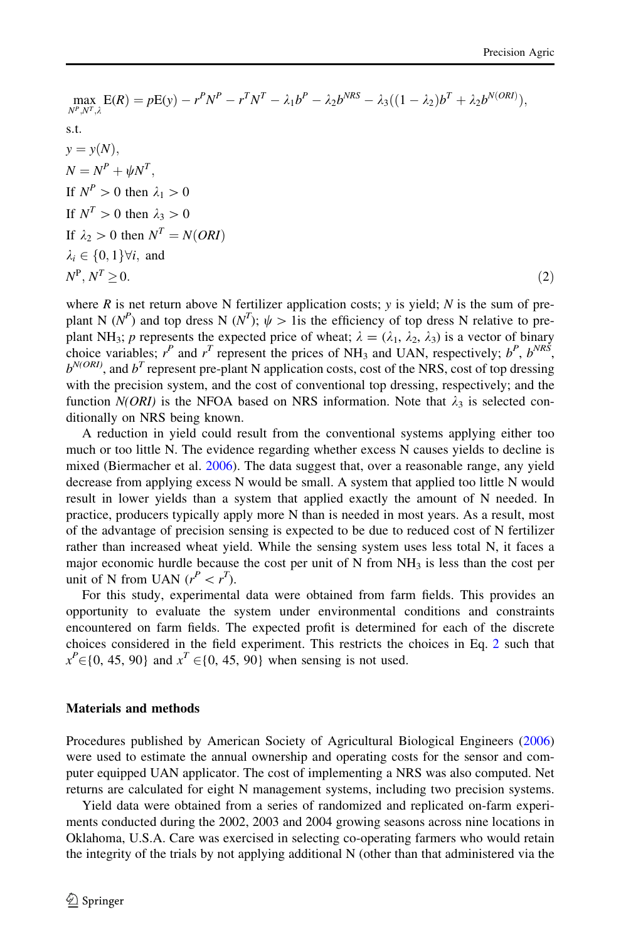$$
\max_{N^{P}, N^{T}, \lambda} E(R) = pE(y) - r^{P}N^{P} - r^{T}N^{T} - \lambda_{1}b^{P} - \lambda_{2}b^{NRS} - \lambda_{3}((1 - \lambda_{2})b^{T} + \lambda_{2}b^{N(OR)}),
$$
  
s.t.  

$$
y = y(N),
$$
  

$$
N = N^{P} + \psi N^{T},
$$
  
If  $N^{P} > 0$  then  $\lambda_{1} > 0$   
If  $N^{T} > 0$  then  $\lambda_{3} > 0$   
If  $\lambda_{2} > 0$  then  $N^{T} = N(ORI)$   
 $\lambda_{i} \in \{0, 1\} \forall i$ , and  
 $N^{P}, N^{T} \ge 0.$  (2)

where  $R$  is net return above N fertilizer application costs; y is yield;  $N$  is the sum of preplant N (N<sup>P</sup>) and top dress N (N<sup>T</sup>);  $\psi > 1$  is the efficiency of top dress N relative to preplant NH<sub>3</sub>; p represents the expected price of wheat;  $\lambda = (\lambda_1, \lambda_2, \lambda_3)$  is a vector of binary choice variables;  $r^P$  and  $r^T$  represent the prices of NH<sub>3</sub> and UAN, respectively;  $b^P$ ,  $b^{NR\dot{S}}$ ,  $b^{N(ORI)}$ , and  $b^T$  represent pre-plant N application costs, cost of the NRS, cost of top dressing with the precision system, and the cost of conventional top dressing, respectively; and the function  $N(ORI)$  is the NFOA based on NRS information. Note that  $\lambda_3$  is selected conditionally on NRS being known.

A reduction in yield could result from the conventional systems applying either too much or too little N. The evidence regarding whether excess N causes yields to decline is mixed (Biermacher et al. [2006\)](#page-16-0). The data suggest that, over a reasonable range, any yield decrease from applying excess N would be small. A system that applied too little N would result in lower yields than a system that applied exactly the amount of N needed. In practice, producers typically apply more N than is needed in most years. As a result, most of the advantage of precision sensing is expected to be due to reduced cost of N fertilizer rather than increased wheat yield. While the sensing system uses less total N, it faces a major economic hurdle because the cost per unit of N from  $NH<sub>3</sub>$  is less than the cost per unit of N from UAN  $(r^P < r^T)$ .

For this study, experimental data were obtained from farm fields. This provides an opportunity to evaluate the system under environmental conditions and constraints encountered on farm fields. The expected profit is determined for each of the discrete choices considered in the field experiment. This restricts the choices in Eq. 2 such that  $x^P \in \{0, 45, 90\}$  and  $x^T \in \{0, 45, 90\}$  when sensing is not used.

#### Materials and methods

Procedures published by American Society of Agricultural Biological Engineers ([2006](#page-16-0)) were used to estimate the annual ownership and operating costs for the sensor and computer equipped UAN applicator. The cost of implementing a NRS was also computed. Net returns are calculated for eight N management systems, including two precision systems.

Yield data were obtained from a series of randomized and replicated on-farm experiments conducted during the 2002, 2003 and 2004 growing seasons across nine locations in Oklahoma, U.S.A. Care was exercised in selecting co-operating farmers who would retain the integrity of the trials by not applying additional N (other than that administered via the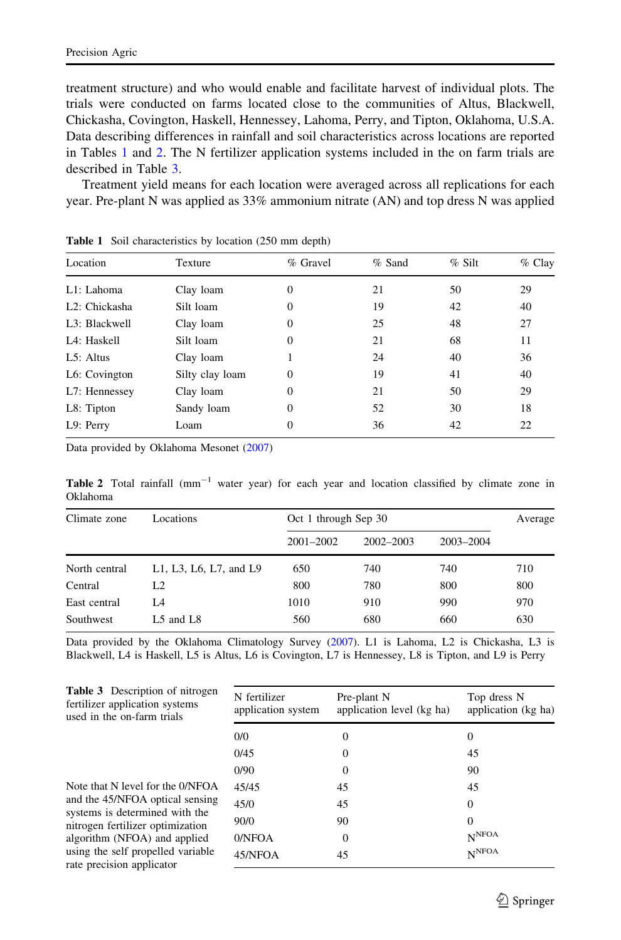<span id="page-4-0"></span>treatment structure) and who would enable and facilitate harvest of individual plots. The trials were conducted on farms located close to the communities of Altus, Blackwell, Chickasha, Covington, Haskell, Hennessey, Lahoma, Perry, and Tipton, Oklahoma, U.S.A. Data describing differences in rainfall and soil characteristics across locations are reported in Tables 1 and 2. The N fertilizer application systems included in the on farm trials are described in Table 3.

Treatment yield means for each location were averaged across all replications for each year. Pre-plant N was applied as 33% ammonium nitrate (AN) and top dress N was applied

| Location                   | Texture         | % Gravel         | $%$ Sand | $%$ Silt | $%$ Clay |
|----------------------------|-----------------|------------------|----------|----------|----------|
| L1: Lahoma                 | Clay loam       | $\boldsymbol{0}$ | 21       | 50       | 29       |
| L <sub>2</sub> : Chickasha | Silt loam       | $\mathbf{0}$     | 19       | 42       | 40       |
| L <sub>3</sub> : Blackwell | Clay loam       | 0                | 25       | 48       | 27       |
| L4: Haskell                | Silt loam       | $\mathbf{0}$     | 21       | 68       | 11       |
| $L5:$ Altus                | Clay loam       |                  | 24       | 40       | 36       |
| L6: Covington              | Silty clay loam | $\overline{0}$   | 19       | 41       | 40       |
| L7: Hennessey              | Clay loam       | 0                | 21       | 50       | 29       |
| L8: Tipton                 | Sandy loam      | $\overline{0}$   | 52       | 30       | 18       |
| L9: Perry                  | Loam            | 0                | 36       | 42       | 22       |
|                            |                 |                  |          |          |          |

Table 1 Soil characteristics by location (250 mm depth)

Data provided by Oklahoma Mesonet ([2007\)](#page-17-0)

Table 2 Total rainfall  $(mm^{-1}$  water year) for each year and location classified by climate zone in Oklahoma

| Climate zone  | Locations              | Oct 1 through Sep 30 |               |           | Average |
|---------------|------------------------|----------------------|---------------|-----------|---------|
|               |                        | $2001 - 2002$        | $2002 - 2003$ | 2003-2004 |         |
| North central | L1, L3, L6, L7, and L9 | 650                  | 740           | 740       | 710     |
| Central       | L <sub>2</sub>         | 800                  | 780           | 800       | 800     |
| East central  | I 4                    | 1010                 | 910           | 990       | 970     |
| Southwest     | L5 and L8              | 560                  | 680           | 660       | 630     |

Data provided by the Oklahoma Climatology Survey [\(2007](#page-17-0)). L1 is Lahoma, L2 is Chickasha, L3 is Blackwell, L4 is Haskell, L5 is Altus, L6 is Covington, L7 is Hennessey, L8 is Tipton, and L9 is Perry

| <b>Table 3</b> Description of nitrogen<br>fertilizer application systems<br>used in the on-farm trials | N fertilizer<br>application system | Pre-plant N<br>application level (kg ha) | Top dress N<br>application (kg ha) |
|--------------------------------------------------------------------------------------------------------|------------------------------------|------------------------------------------|------------------------------------|
|                                                                                                        | 0/0                                | $\Omega$                                 | 0                                  |
|                                                                                                        | 0/45                               | 0                                        | 45                                 |
|                                                                                                        | 0/90                               | $\Omega$                                 | 90                                 |
| Note that N level for the 0/NFOA                                                                       | 45/45                              | 45                                       | 45                                 |
| and the 45/NFOA optical sensing                                                                        | 45/0                               | 45                                       | $\Omega$                           |
| systems is determined with the<br>nitrogen fertilizer optimization                                     | 90/0                               | 90                                       | $\theta$                           |
| algorithm (NFOA) and applied                                                                           | 0/NFOA                             | $\Omega$                                 | N <sub>NFOA</sub>                  |
| using the self propelled variable<br>rate precision applicator                                         | 45/NFOA                            | 45                                       | N <sup>NFOA</sup>                  |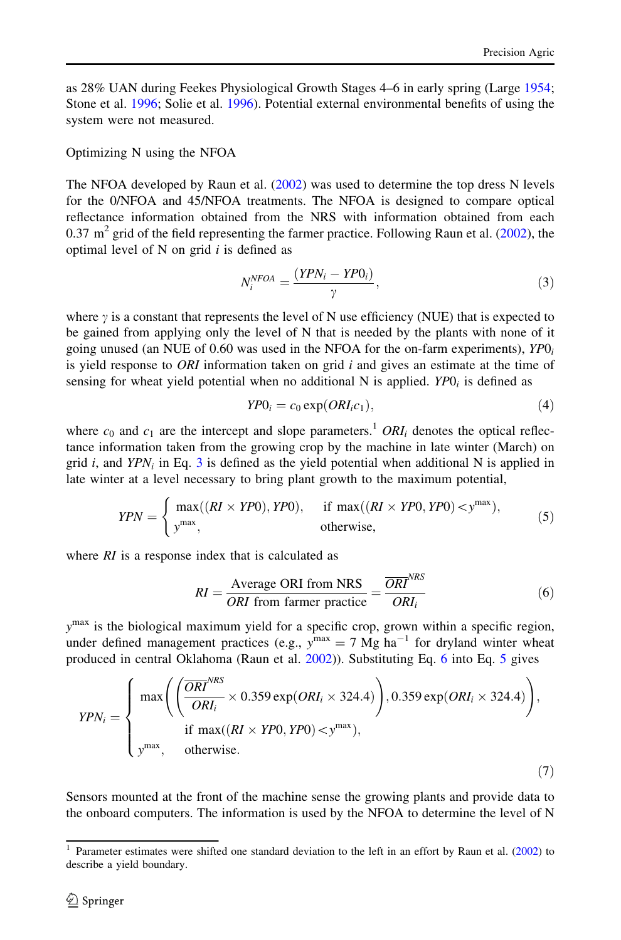<span id="page-5-0"></span>as 28% UAN during Feekes Physiological Growth Stages 4–6 in early spring (Large [1954;](#page-16-0) Stone et al. [1996;](#page-17-0) Solie et al. [1996](#page-17-0)). Potential external environmental benefits of using the system were not measured.

## Optimizing N using the NFOA

The NFOA developed by Raun et al. [\(2002](#page-17-0)) was used to determine the top dress N levels for the 0/NFOA and 45/NFOA treatments. The NFOA is designed to compare optical reflectance information obtained from the NRS with information obtained from each 0.37  $\text{m}^2$  grid of the field representing the farmer practice. Following Raun et al. [\(2002](#page-17-0)), the optimal level of  $N$  on grid  $i$  is defined as

$$
N_i^{NFOA} = \frac{(YPN_i - YPO_i)}{\gamma},\tag{3}
$$

where  $\gamma$  is a constant that represents the level of N use efficiency (NUE) that is expected to be gained from applying only the level of N that is needed by the plants with none of it going unused (an NUE of 0.60 was used in the NFOA for the on-farm experiments),  $YP0_i$ is yield response to *ORI* information taken on grid  $i$  and gives an estimate at the time of sensing for wheat yield potential when no additional N is applied.  $YPO_i$  is defined as

$$
YP0_i = c_0 \exp(ORI_i c_1), \tag{4}
$$

where  $c_0$  and  $c_1$  are the intercept and slope parameters.<sup>1</sup> ORI<sub>i</sub> denotes the optical reflectance information taken from the growing crop by the machine in late winter (March) on grid i, and  $YPN_i$  in Eq. 3 is defined as the yield potential when additional N is applied in late winter at a level necessary to bring plant growth to the maximum potential,

$$
YPN = \begin{cases} \max((RI \times YP0), YP0), & \text{if } \max((RI \times YP0, YP0) < y^{\max}), \\ y^{\max}, & \text{otherwise}, \end{cases} \tag{5}
$$

where  $RI$  is a response index that is calculated as

$$
RI = \frac{\text{Average ORI from NRS}}{ORI \text{ from farmer practice}} = \frac{\overline{ORI}^{NRS}}{ORI_i}
$$
 (6)

 $y<sup>max</sup>$  is the biological maximum yield for a specific crop, grown within a specific region, under defined management practices (e.g.,  $y^{max} = 7$  Mg ha<sup>-1</sup> for dryland winter wheat produced in central Oklahoma (Raun et al. [2002](#page-17-0))). Substituting Eq. 6 into Eq. 5 gives

$$
YPN_i = \begin{cases} \max \left( \left( \frac{\overline{ORI}^{NRS}}{ORI_i} \times 0.359 \exp(ORI_i \times 324.4) \right), 0.359 \exp(ORI_i \times 324.4) \right), \\ \text{if } \max((RI \times YPO, YPO) < y^{\max}), \\ y^{\max}, \quad \text{otherwise.} \end{cases} (7)
$$

Sensors mounted at the front of the machine sense the growing plants and provide data to the onboard computers. The information is used by the NFOA to determine the level of N

<sup>1</sup> Parameter estimates were shifted one standard deviation to the left in an effort by Raun et al. [\(2002](#page-17-0)) to describe a yield boundary.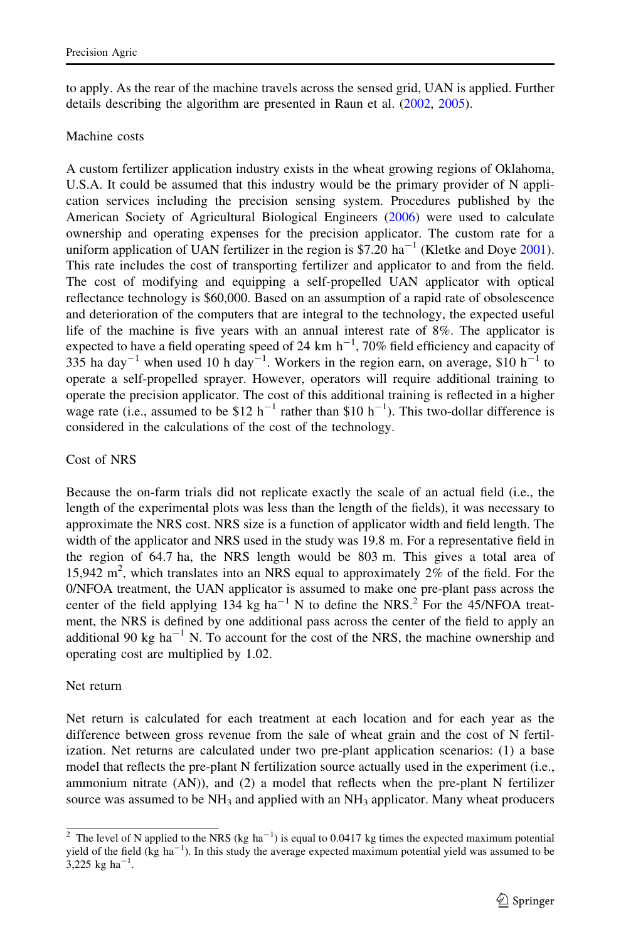to apply. As the rear of the machine travels across the sensed grid, UAN is applied. Further details describing the algorithm are presented in Raun et al. ([2002,](#page-17-0) [2005](#page-17-0)).

# Machine costs

A custom fertilizer application industry exists in the wheat growing regions of Oklahoma, U.S.A. It could be assumed that this industry would be the primary provider of N application services including the precision sensing system. Procedures published by the American Society of Agricultural Biological Engineers [\(2006](#page-16-0)) were used to calculate ownership and operating expenses for the precision applicator. The custom rate for a uniform application of UAN fertilizer in the region is \$7.20  $ha^{-1}$  (Kletke and Doye [2001](#page-16-0)). This rate includes the cost of transporting fertilizer and applicator to and from the field. The cost of modifying and equipping a self-propelled UAN applicator with optical reflectance technology is \$60,000. Based on an assumption of a rapid rate of obsolescence and deterioration of the computers that are integral to the technology, the expected useful life of the machine is five years with an annual interest rate of 8%. The applicator is expected to have a field operating speed of 24 km  $h^{-1}$ , 70% field efficiency and capacity of 335 ha day<sup>-1</sup> when used 10 h day<sup>-1</sup>. Workers in the region earn, on average, \$10 h<sup>-1</sup> to operate a self-propelled sprayer. However, operators will require additional training to operate the precision applicator. The cost of this additional training is reflected in a higher wage rate (i.e., assumed to be \$12 h<sup>-1</sup> rather than \$10 h<sup>-1</sup>). This two-dollar difference is considered in the calculations of the cost of the technology.

# Cost of NRS

Because the on-farm trials did not replicate exactly the scale of an actual field (i.e., the length of the experimental plots was less than the length of the fields), it was necessary to approximate the NRS cost. NRS size is a function of applicator width and field length. The width of the applicator and NRS used in the study was 19.8 m. For a representative field in the region of 64.7 ha, the NRS length would be 803 m. This gives a total area of 15,942  $m^2$ , which translates into an NRS equal to approximately 2% of the field. For the 0/NFOA treatment, the UAN applicator is assumed to make one pre-plant pass across the center of the field applying  $134 \text{ kg ha}^{-1}$  N to define the NRS.<sup>2</sup> For the 45/NFOA treatment, the NRS is defined by one additional pass across the center of the field to apply an additional 90 kg ha<sup>-1</sup> N. To account for the cost of the NRS, the machine ownership and operating cost are multiplied by 1.02.

# Net return

Net return is calculated for each treatment at each location and for each year as the difference between gross revenue from the sale of wheat grain and the cost of N fertilization. Net returns are calculated under two pre-plant application scenarios: (1) a base model that reflects the pre-plant N fertilization source actually used in the experiment (i.e., ammonium nitrate (AN)), and (2) a model that reflects when the pre-plant N fertilizer source was assumed to be  $NH_3$  and applied with an  $NH_3$  applicator. Many wheat producers

<sup>&</sup>lt;sup>2</sup> The level of N applied to the NRS (kg ha<sup>-1</sup>) is equal to 0.0417 kg times the expected maximum potential yield of the field  $(kg \text{ ha}^{-1})$ . In this study the average expected maximum potential yield was assumed to be  $3,225$  kg ha<sup>-1</sup>.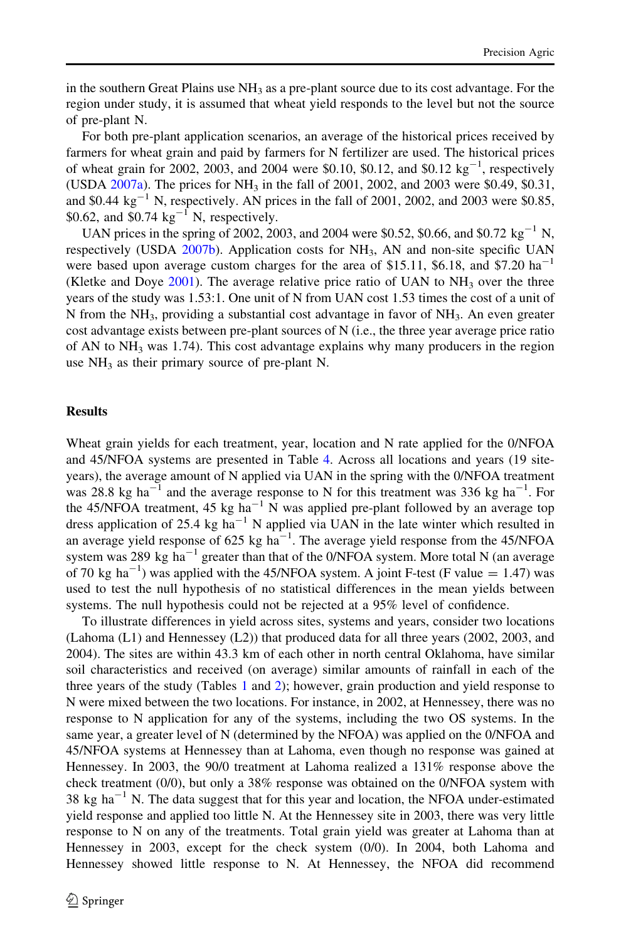in the southern Great Plains use  $NH_3$  as a pre-plant source due to its cost advantage. For the region under study, it is assumed that wheat yield responds to the level but not the source of pre-plant N.

For both pre-plant application scenarios, an average of the historical prices received by farmers for wheat grain and paid by farmers for N fertilizer are used. The historical prices of wheat grain for 2002, 2003, and 2004 were \$0.10, \$0.12, and \$0.12  $\text{kg}^{-1}$ , respectively (USDA  $2007a$ ). The prices for NH<sub>3</sub> in the fall of 2001, 2002, and 2003 were \$0.49, \$0.31, and \$0.44  $\text{kg}^{-1}$  N, respectively. AN prices in the fall of 2001, 2002, and 2003 were \$0.85, \$0.62, and  $\overline{$}0.74 \text{ kg}^{-1}$  N, respectively.

UAN prices in the spring of 2002, 2003, and 2004 were \$0.52, \$0.66, and \$0.72 kg<sup>-1</sup> N, respectively (USDA [2007b](#page-17-0)). Application costs for NH<sub>3</sub>, AN and non-site specific UAN were based upon average custom charges for the area of \$15.11, \$6.18, and \$7.20  $ha^{-1}$ (Kletke and Doye [2001](#page-16-0)). The average relative price ratio of UAN to  $NH_3$  over the three years of the study was 1.53:1. One unit of N from UAN cost 1.53 times the cost of a unit of N from the  $NH_3$ , providing a substantial cost advantage in favor of  $NH_3$ . An even greater cost advantage exists between pre-plant sources of N (i.e., the three year average price ratio of AN to  $NH<sub>3</sub>$  was 1.74). This cost advantage explains why many producers in the region use  $NH<sub>3</sub>$  as their primary source of pre-plant N.

# **Results**

Wheat grain yields for each treatment, year, location and N rate applied for the 0/NFOA and 45/NFOA systems are presented in Table [4.](#page-8-0) Across all locations and years (19 siteyears), the average amount of N applied via UAN in the spring with the 0/NFOA treatment was 28.8 kg ha<sup>-1</sup> and the average response to N for this treatment was 336 kg ha<sup>-1</sup>. For the 45/NFOA treatment, 45 kg  $ha^{-1}$  N was applied pre-plant followed by an average top dress application of 25.4 kg  $ha^{-1}$  N applied via UAN in the late winter which resulted in an average yield response of 625 kg  $ha^{-1}$ . The average yield response from the 45/NFOA system was 289 kg ha<sup>-1</sup> greater than that of the 0/NFOA system. More total N (an average of 70 kg ha<sup>-1</sup>) was applied with the 45/NFOA system. A joint F-test (F value = 1.47) was used to test the null hypothesis of no statistical differences in the mean yields between systems. The null hypothesis could not be rejected at a 95% level of confidence.

To illustrate differences in yield across sites, systems and years, consider two locations (Lahoma (L1) and Hennessey (L2)) that produced data for all three years (2002, 2003, and 2004). The sites are within 43.3 km of each other in north central Oklahoma, have similar soil characteristics and received (on average) similar amounts of rainfall in each of the three years of the study (Tables [1](#page-4-0) and [2](#page-4-0)); however, grain production and yield response to N were mixed between the two locations. For instance, in 2002, at Hennessey, there was no response to N application for any of the systems, including the two OS systems. In the same year, a greater level of N (determined by the NFOA) was applied on the 0/NFOA and 45/NFOA systems at Hennessey than at Lahoma, even though no response was gained at Hennessey. In 2003, the 90/0 treatment at Lahoma realized a 131% response above the check treatment (0/0), but only a 38% response was obtained on the 0/NFOA system with 38 kg ha<sup>-1</sup> N. The data suggest that for this year and location, the NFOA under-estimated yield response and applied too little N. At the Hennessey site in 2003, there was very little response to N on any of the treatments. Total grain yield was greater at Lahoma than at Hennessey in 2003, except for the check system (0/0). In 2004, both Lahoma and Hennessey showed little response to N. At Hennessey, the NFOA did recommend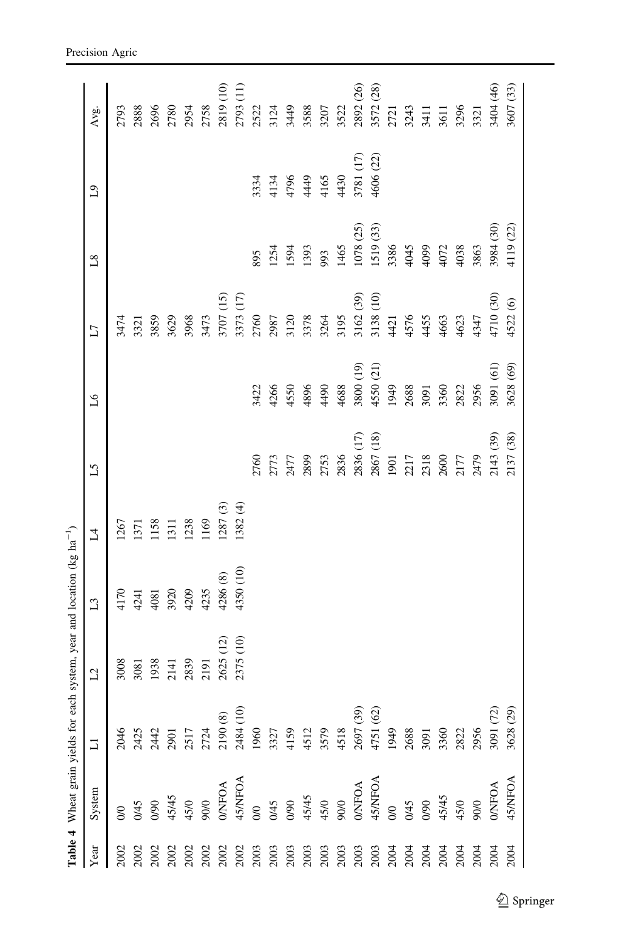<span id="page-8-0"></span>

|                                                                                                                                                                                                                                                                                                               |                                              |                       | Table 4 Wheat grain yields for each system, year and location (kg ha <sup>-1</sup> ) |                 |                |                 |               |                |           |           |           |
|---------------------------------------------------------------------------------------------------------------------------------------------------------------------------------------------------------------------------------------------------------------------------------------------------------------|----------------------------------------------|-----------------------|--------------------------------------------------------------------------------------|-----------------|----------------|-----------------|---------------|----------------|-----------|-----------|-----------|
| Year                                                                                                                                                                                                                                                                                                          | System                                       | $\Box$                | $\overline{L}$                                                                       | $\overline{L}3$ | $\overline{1}$ | $\mathfrak{L}5$ | $\mathcal{L}$ | $\overline{L}$ | $^{8}$    | $^{0.1}$  | Avg.      |
| 2002                                                                                                                                                                                                                                                                                                          | $\infty$                                     | 2046                  | 3008                                                                                 | 4170            | 1267           |                 |               | 3474           |           |           | 2793      |
| 2002                                                                                                                                                                                                                                                                                                          | 0/45                                         |                       | 3081                                                                                 | 4241            | 1371           |                 |               | 3321           |           |           | 2888      |
| 2002                                                                                                                                                                                                                                                                                                          | 0/90                                         | 2425<br>2442          | 1938                                                                                 | 4081            | 1158           |                 |               | 3859           |           |           | 2696      |
| 2002                                                                                                                                                                                                                                                                                                          | $45/45$<br>$45/0$<br>90/0                    | 2901<br>2517<br>2724  | 2141                                                                                 | 3920            | 1311           |                 |               | 3629           |           |           | 2780      |
| $\begin{array}{c} 2002 \\ 2002 \end{array}$                                                                                                                                                                                                                                                                   |                                              |                       | 2839                                                                                 | 4209            | 1238           |                 |               | 3968           |           |           | 2954      |
|                                                                                                                                                                                                                                                                                                               |                                              |                       | 2191                                                                                 | 4235            | 1169           |                 |               | 3473           |           |           | 2758      |
| $\begin{array}{l} 202 \\ 2003 \\ 2003 \\ 2003 \\ 2003 \\ 2003 \\ 2003 \\ 2003 \\ 2003 \\ 2003 \\ 2003 \\ 2003 \\ 2004 \\ 2004 \\ 2004 \\ 2004 \\ 2004 \\ 2004 \\ 2004 \\ 2004 \\ 2004 \\ 2004 \\ 2004 \\ 2004 \\ 2004 \\ 2004 \\ 2004 \\ 2005 \\ 2004 \\ 2004 \\ 2004 \\ 2004 \\ 2004 \\ 2004 \\ 2004 \\ 200$ | <b>O/NFOA</b>                                |                       | 2625 (12)                                                                            | 4286 (8)        | 1287 (3)       |                 |               | 3707 (15)      |           |           | 2819 (10) |
|                                                                                                                                                                                                                                                                                                               | 45/NFOA                                      | 2190 (8)<br>2484 (10) | 2375 (10)                                                                            | 4350 (10)       | 1382 (4)       |                 |               | 3373 (17)      |           |           | 2793 (11) |
|                                                                                                                                                                                                                                                                                                               |                                              | 1960                  |                                                                                      |                 |                | 2760            | 3422          | 2760           | 895       | 3334      | 2522      |
|                                                                                                                                                                                                                                                                                                               | 0/0<br>0/45<br>0/90<br>45/45<br>45/0<br>90/0 | 3327                  |                                                                                      |                 |                | 2773            | 4266          | 2987           | 1254      | 4134      | 3124      |
|                                                                                                                                                                                                                                                                                                               |                                              | 4159                  |                                                                                      |                 |                | 2477            | 4550          | 3120           | 1594      | 4796      | 3449      |
|                                                                                                                                                                                                                                                                                                               |                                              | 4512<br>3579          |                                                                                      |                 |                | 2899            | 4896          | 3378           | 1393      | 4449      | 3588      |
|                                                                                                                                                                                                                                                                                                               |                                              |                       |                                                                                      |                 |                | 2753            | 4490          | 3264           | 993       | 4165      | 3207      |
|                                                                                                                                                                                                                                                                                                               |                                              | 4518                  |                                                                                      |                 |                | 2836            | 4688          | 3195           | 1465      | 4430      | 3522      |
|                                                                                                                                                                                                                                                                                                               | <b>O/NFOA</b>                                | 2697 (39)             |                                                                                      |                 |                | 2836 (17)       | 3800 (19)     | 3162 (39)      | 1078 (25) | 3781 (17) | 2892 (26) |
|                                                                                                                                                                                                                                                                                                               | 45/NFOA                                      | 4751 (62)             |                                                                                      |                 |                | 2867 (18)       | 4550 (21)     | 3138 (10)      | 1519 (33) | 4606 (22) | 3572 (28) |
|                                                                                                                                                                                                                                                                                                               | $\infty$                                     | 1949                  |                                                                                      |                 |                | 1901            | 1949          | 4421           | 3386      |           | 2721      |
| $2004$<br>$2004$                                                                                                                                                                                                                                                                                              | 0/45                                         | 2688                  |                                                                                      |                 |                | 2217            | 2688          | 4576           | 4045      |           | 3243      |
|                                                                                                                                                                                                                                                                                                               | 0/90                                         | 3091                  |                                                                                      |                 |                | 2318            | 3091          | 4455           | 4099      |           | 3411      |
| 2004                                                                                                                                                                                                                                                                                                          |                                              | 3360                  |                                                                                      |                 |                | 2600            | 3360          | 4663           | 4072      |           | 3611      |
| 2004                                                                                                                                                                                                                                                                                                          | 45/45<br>45/0<br>90/0                        | 2822                  |                                                                                      |                 |                | 2177            | 2822          | 4623           | 4038      |           | 3296      |
| 2004                                                                                                                                                                                                                                                                                                          |                                              | 2956                  |                                                                                      |                 |                | 2479            | 2956          | 4347           | 3863      |           | 3321      |
| 2004                                                                                                                                                                                                                                                                                                          | <b>DAFOA</b>                                 | 3091 (72)             |                                                                                      |                 |                | 2143 (39)       | 3091 (61)     | 4710 (30)      | 3984 (30) |           | 3404 (46) |
| 2004                                                                                                                                                                                                                                                                                                          | 45NFOA                                       | 3628 (29)             |                                                                                      |                 |                | 2137 (38)       | 3628 (69)     | 4522 (6)       | 4119 (22) |           | 3607 (33) |
|                                                                                                                                                                                                                                                                                                               |                                              |                       |                                                                                      |                 |                |                 |               |                |           |           |           |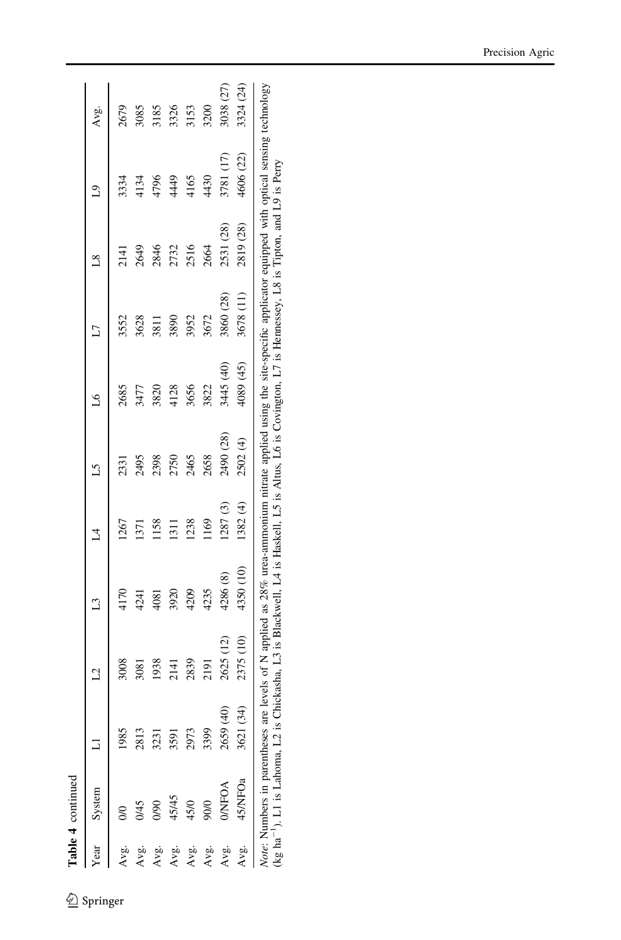| ٢ |  |
|---|--|
|   |  |
|   |  |
|   |  |
|   |  |

|      | <b>Lable + Collumna</b>          |           |                |                                                                                                                                                                                                                                                                                                            |                 |           |           |                 |           |           |           |
|------|----------------------------------|-----------|----------------|------------------------------------------------------------------------------------------------------------------------------------------------------------------------------------------------------------------------------------------------------------------------------------------------------------|-----------------|-----------|-----------|-----------------|-----------|-----------|-----------|
| Year | System                           |           | 2              | $\mathbb{C}$                                                                                                                                                                                                                                                                                               | $\mathbb{1}$    | 51        | Å         | L7              | $^{8}$    | $^{0}$    | Avg.      |
| Avg. |                                  |           | 3008           | $\frac{170}{1}$                                                                                                                                                                                                                                                                                            | 1267            | 2331      | 2685      | 3552            | 2141      | 3334      | 2679      |
| Avg. | 1/45                             | 2813      | 3081           | 424]                                                                                                                                                                                                                                                                                                       | $\overline{37}$ | 2495      | 3477      | 3628            | 2649      | 4134      | 3085      |
| Avg. | <b>JOIL</b>                      | 3231      | 1938           | $\frac{8}{3}$                                                                                                                                                                                                                                                                                              | 158             | 2398      | 3820      | $\frac{1}{381}$ | 2846      | 4796      | \$185     |
| Avg. | 45/45                            | 3591      | $\frac{14}{3}$ | 3920                                                                                                                                                                                                                                                                                                       | $\Xi$           | 2750      | 4128      | 3890            | 2732      | 4449      | 3326      |
| Avg. | 45/0                             |           | 2839           | 4209                                                                                                                                                                                                                                                                                                       | 1238            | 2465      | 3656      | 3952            | 2516      | 4165      | 8153      |
| Avg. | 900                              | 3399      | 219I           | 4235                                                                                                                                                                                                                                                                                                       | 169             | 2658      | 3822      | 3672            | 2664      | 4430      | 3200      |
| Avg. | <b>O/NFOA</b>                    | 2659 (40) | 2625           | 4286 (8)                                                                                                                                                                                                                                                                                                   | (287(3)         | 2490 (28) | 3445 (40) | 3860 (28)       | 2531 (28) | 3781 (17) | 3038 (27) |
| Avg. | 45/NFOa                          | 3621 (34  | 2375 (10)      | 4350 (10)                                                                                                                                                                                                                                                                                                  | 1382(4)         | 2502 (4)  | 4089 (45) | 3678 (11)       | 2819 (28) | 4606 (22) | 3324 (24) |
|      | Note: Numbers in parentheses are |           |                | levels of N applied as 28% urea-ammonium nitrate applied using the site-specific applicator equipped with optical sensing technology<br>(kg ha <sup>-1</sup> ). L1 is Lahoma, L2 is Chickasha, L3 is Blackwell, L4 is Haskell, L5 is Altus, L6 is Covington, L7 is Hemessey, L8 is Tipton, and L9 is Perry |                 |           |           |                 |           |           |           |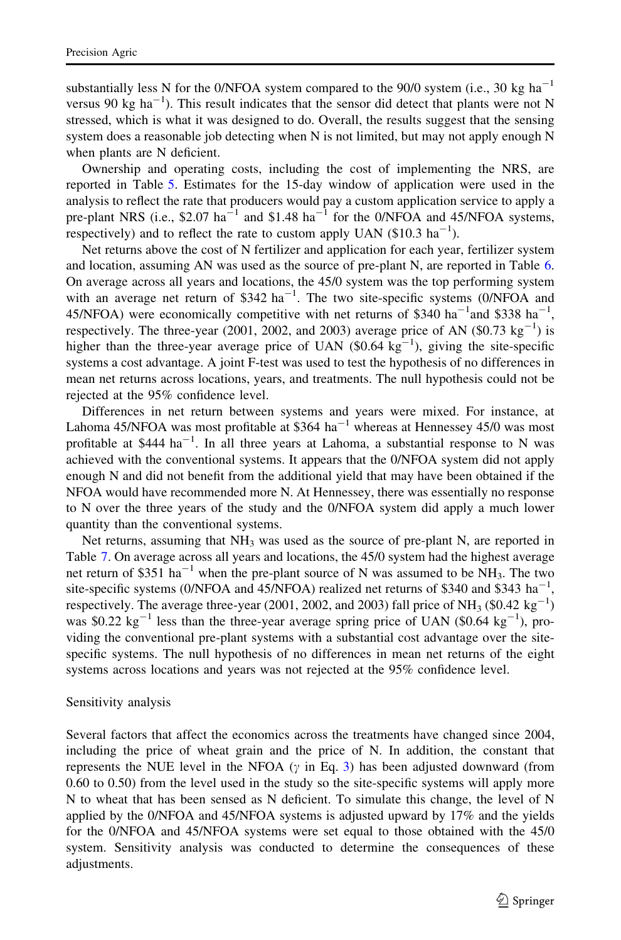substantially less N for the 0/NFOA system compared to the 90/0 system (i.e., 30 kg ha<sup>-1</sup> versus 90 kg  $ha^{-1}$ ). This result indicates that the sensor did detect that plants were not N stressed, which is what it was designed to do. Overall, the results suggest that the sensing system does a reasonable job detecting when N is not limited, but may not apply enough N when plants are N deficient.

Ownership and operating costs, including the cost of implementing the NRS, are reported in Table [5.](#page-11-0) Estimates for the 15-day window of application were used in the analysis to reflect the rate that producers would pay a custom application service to apply a pre-plant NRS (i.e., \$2.07 ha<sup>-1</sup> and \$1.48 ha<sup>-1</sup> for the 0/NFOA and 45/NFOA systems, respectively) and to reflect the rate to custom apply UAN  $(\$10.3 \text{ ha}^{-1})$ .

Net returns above the cost of N fertilizer and application for each year, fertilizer system and location, assuming AN was used as the source of pre-plant N, are reported in Table [6](#page-12-0). On average across all years and locations, the 45/0 system was the top performing system with an average net return of  $$342 \text{ ha}^{-1}$ . The two site-specific systems (0/NFOA and 45/NFOA) were economically competitive with net returns of \$340 ha<sup>-1</sup> and \$338 ha<sup>-1</sup>, respectively. The three-year (2001, 2002, and 2003) average price of AN (\$0.73  $\text{kg}^{-1}$ ) is higher than the three-year average price of UAN  $(\text{$}0.64 \text{ kg}^{-1})$ , giving the site-specific systems a cost advantage. A joint F-test was used to test the hypothesis of no differences in mean net returns across locations, years, and treatments. The null hypothesis could not be rejected at the 95% confidence level.

Differences in net return between systems and years were mixed. For instance, at Lahoma 45/NFOA was most profitable at \$364 ha<sup> $-1$ </sup> whereas at Hennessey 45/0 was most profitable at \$444 ha<sup>-1</sup>. In all three years at Lahoma, a substantial response to N was achieved with the conventional systems. It appears that the 0/NFOA system did not apply enough N and did not benefit from the additional yield that may have been obtained if the NFOA would have recommended more N. At Hennessey, there was essentially no response to N over the three years of the study and the 0/NFOA system did apply a much lower quantity than the conventional systems.

Net returns, assuming that NH<sub>3</sub> was used as the source of pre-plant N, are reported in Table [7](#page-13-0). On average across all years and locations, the 45/0 system had the highest average net return of \$351 ha<sup>-1</sup> when the pre-plant source of N was assumed to be NH<sub>3</sub>. The two site-specific systems (0/NFOA and 45/NFOA) realized net returns of \$340 and \$343 ha<sup>-1</sup>, respectively. The average three-year (2001, 2002, and 2003) fall price of NH<sub>3</sub> (\$0.42 kg<sup>-1</sup>) was \$0.22  $\text{kg}^{-1}$  less than the three-year average spring price of UAN (\$0.64  $\text{kg}^{-1}$ ), providing the conventional pre-plant systems with a substantial cost advantage over the sitespecific systems. The null hypothesis of no differences in mean net returns of the eight systems across locations and years was not rejected at the 95% confidence level.

#### Sensitivity analysis

Several factors that affect the economics across the treatments have changed since 2004, including the price of wheat grain and the price of N. In addition, the constant that represents the NUE level in the NFOA  $(y \text{ in Eq. 3})$  has been adjusted downward (from 0.60 to 0.50) from the level used in the study so the site-specific systems will apply more N to wheat that has been sensed as N deficient. To simulate this change, the level of N applied by the 0/NFOA and 45/NFOA systems is adjusted upward by 17% and the yields for the 0/NFOA and 45/NFOA systems were set equal to those obtained with the 45/0 system. Sensitivity analysis was conducted to determine the consequences of these adjustments.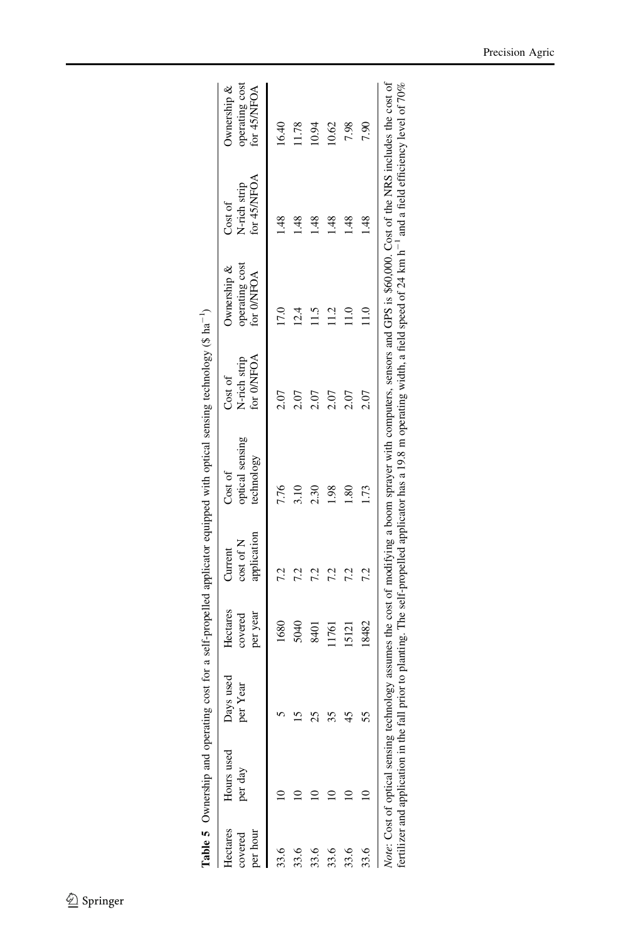<span id="page-11-0"></span>

| Hectares<br>per hour<br>covered | Hours used<br>per day | ays used<br>per Year | Hectares<br>per year<br>covered | application<br>cost of N<br>Current | optical sensing<br>technology<br>Cost of | for O/NFOA<br>N-rich strip<br>Cost of | operating cost<br>Ownership &<br>for 0/NFOA | for $45/\text{NFOA}$<br>N-rich strip<br>Cost of | operating cost<br>Ownership &<br>for 45/NFOA |
|---------------------------------|-----------------------|----------------------|---------------------------------|-------------------------------------|------------------------------------------|---------------------------------------|---------------------------------------------|-------------------------------------------------|----------------------------------------------|
| 33.6                            |                       |                      | 1680                            |                                     | 7.76                                     |                                       | <b>D:L</b>                                  | $\frac{8}{3}$                                   | 16.40                                        |
| 33.6                            |                       |                      | 5040                            | 7.2                                 | 3.10                                     | 2.07                                  | 12.4                                        | 48.                                             | 1.78                                         |
| 33.6                            |                       | 25                   | 8401                            | 7.2                                 | 2.30                                     | 2.07                                  | $\frac{15}{1}$                              | $\frac{8}{3}$                                   | 0.94                                         |
| 33.6                            |                       | 35                   | 1761                            | 7.2                                 | $\frac{86}{1}$                           | 2.07                                  | $\Xi$                                       | $\frac{48}{5}$                                  | 10.62                                        |
| 33.6                            |                       | 45                   | 15121                           | 7.2                                 | $\frac{80}{2}$                           | 2.07                                  | $\frac{0}{11}$                              | $\frac{48}{5}$                                  | 7.98                                         |
| 33.6                            |                       |                      | 18482                           | 7.2                                 | l.73                                     | 2.07                                  | $\frac{0}{11}$                              | $\frac{8}{1}$                                   | 7.90                                         |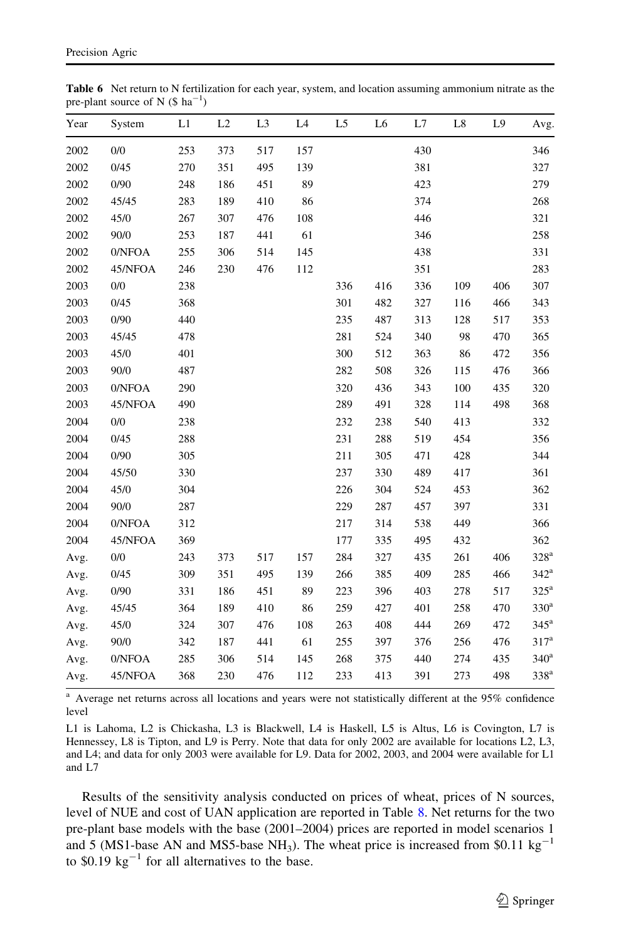<span id="page-12-0"></span>

| <b>Table 6</b> Net return to N fertilization for each year, system, and location assuming ammonium nitrate as the |  |  |  |  |
|-------------------------------------------------------------------------------------------------------------------|--|--|--|--|
| pre-plant source of N $(\$ \text{ ha}^{-1})$                                                                      |  |  |  |  |

| Year | System  | L1  | L2  | L <sub>3</sub> | L <sub>4</sub> | L <sub>5</sub> | L <sub>6</sub> | L7  | L8  | L9  | Avg.               |
|------|---------|-----|-----|----------------|----------------|----------------|----------------|-----|-----|-----|--------------------|
| 2002 | 0/0     | 253 | 373 | 517            | 157            |                |                | 430 |     |     | 346                |
| 2002 | 0/45    | 270 | 351 | 495            | 139            |                |                | 381 |     |     | 327                |
| 2002 | 0/90    | 248 | 186 | 451            | 89             |                |                | 423 |     |     | 279                |
| 2002 | 45/45   | 283 | 189 | 410            | 86             |                |                | 374 |     |     | 268                |
| 2002 | 45/0    | 267 | 307 | 476            | 108            |                |                | 446 |     |     | 321                |
| 2002 | 90/0    | 253 | 187 | 441            | 61             |                |                | 346 |     |     | 258                |
| 2002 | 0/NFOA  | 255 | 306 | 514            | 145            |                |                | 438 |     |     | 331                |
| 2002 | 45/NFOA | 246 | 230 | 476            | 112            |                |                | 351 |     |     | 283                |
| 2003 | 0/0     | 238 |     |                |                | 336            | 416            | 336 | 109 | 406 | 307                |
| 2003 | 0/45    | 368 |     |                |                | 301            | 482            | 327 | 116 | 466 | 343                |
| 2003 | 0/90    | 440 |     |                |                | 235            | 487            | 313 | 128 | 517 | 353                |
| 2003 | 45/45   | 478 |     |                |                | 281            | 524            | 340 | 98  | 470 | 365                |
| 2003 | 45/0    | 401 |     |                |                | 300            | 512            | 363 | 86  | 472 | 356                |
| 2003 | 90/0    | 487 |     |                |                | 282            | 508            | 326 | 115 | 476 | 366                |
| 2003 | 0/NFOA  | 290 |     |                |                | 320            | 436            | 343 | 100 | 435 | 320                |
| 2003 | 45/NFOA | 490 |     |                |                | 289            | 491            | 328 | 114 | 498 | 368                |
| 2004 | 0/0     | 238 |     |                |                | 232            | 238            | 540 | 413 |     | 332                |
| 2004 | 0/45    | 288 |     |                |                | 231            | 288            | 519 | 454 |     | 356                |
| 2004 | 0/90    | 305 |     |                |                | 211            | 305            | 471 | 428 |     | 344                |
| 2004 | 45/50   | 330 |     |                |                | 237            | 330            | 489 | 417 |     | 361                |
| 2004 | 45/0    | 304 |     |                |                | 226            | 304            | 524 | 453 |     | 362                |
| 2004 | 90/0    | 287 |     |                |                | 229            | 287            | 457 | 397 |     | 331                |
| 2004 | 0/NFOA  | 312 |     |                |                | 217            | 314            | 538 | 449 |     | 366                |
| 2004 | 45/NFOA | 369 |     |                |                | 177            | 335            | 495 | 432 |     | 362                |
| Avg. | 0/0     | 243 | 373 | 517            | 157            | 284            | 327            | 435 | 261 | 406 | $328^{\rm a}$      |
| Avg. | 0/45    | 309 | 351 | 495            | 139            | 266            | 385            | 409 | 285 | 466 | $342^{\mathrm{a}}$ |
| Avg. | 0/90    | 331 | 186 | 451            | 89             | 223            | 396            | 403 | 278 | 517 | $325^{\mathrm{a}}$ |
| Avg. | 45/45   | 364 | 189 | 410            | 86             | 259            | 427            | 401 | 258 | 470 | 330 <sup>a</sup>   |
| Avg. | 45/0    | 324 | 307 | 476            | 108            | 263            | 408            | 444 | 269 | 472 | $345^{\mathrm{a}}$ |
| Avg. | 90/0    | 342 | 187 | 441            | 61             | 255            | 397            | 376 | 256 | 476 | $317^a$            |
| Avg. | 0/NFOA  | 285 | 306 | 514            | 145            | 268            | 375            | 440 | 274 | 435 | $340^{\mathrm{a}}$ |
| Avg. | 45/NFOA | 368 | 230 | 476            | 112            | 233            | 413            | 391 | 273 | 498 | 338 <sup>a</sup>   |
|      |         |     |     |                |                |                |                |     |     |     |                    |

<sup>a</sup> Average net returns across all locations and years were not statistically different at the 95% confidence level

L1 is Lahoma, L2 is Chickasha, L3 is Blackwell, L4 is Haskell, L5 is Altus, L6 is Covington, L7 is Hennessey, L8 is Tipton, and L9 is Perry. Note that data for only 2002 are available for locations L2, L3, and L4; and data for only 2003 were available for L9. Data for 2002, 2003, and 2004 were available for L1 and L7

Results of the sensitivity analysis conducted on prices of wheat, prices of N sources, level of NUE and cost of UAN application are reported in Table [8.](#page-14-0) Net returns for the two pre-plant base models with the base (2001–2004) prices are reported in model scenarios 1 and 5 (MS1-base AN and MS5-base NH<sub>3</sub>). The wheat price is increased from \$0.11 kg<sup>-1</sup> to  $$0.19 \text{ kg}^{-1}$  for all alternatives to the base.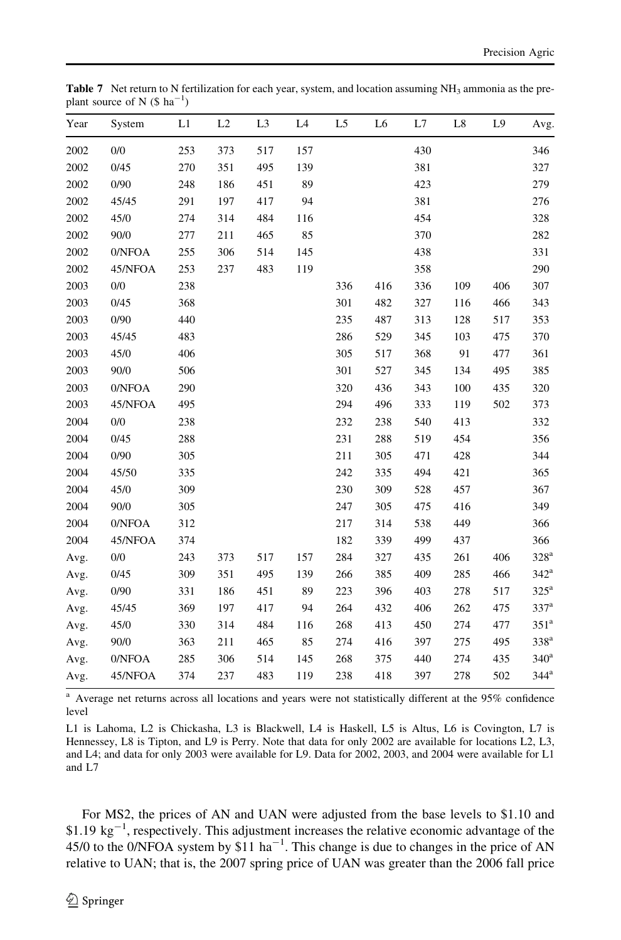<span id="page-13-0"></span>Table 7 Net return to N fertilization for each year, system, and location assuming NH<sub>3</sub> ammonia as the preplant source of N  $(\$ \text{ ha}^{-1})$ 

| Year | System  | L1  | L2  | L <sub>3</sub> | L <sub>4</sub> | L <sub>5</sub> | L6  | L7  | L8  | L9  | Avg.               |
|------|---------|-----|-----|----------------|----------------|----------------|-----|-----|-----|-----|--------------------|
| 2002 | 0/0     | 253 | 373 | 517            | 157            |                |     | 430 |     |     | 346                |
| 2002 | 0/45    | 270 | 351 | 495            | 139            |                |     | 381 |     |     | 327                |
| 2002 | 0/90    | 248 | 186 | 451            | 89             |                |     | 423 |     |     | 279                |
| 2002 | 45/45   | 291 | 197 | 417            | 94             |                |     | 381 |     |     | 276                |
| 2002 | 45/0    | 274 | 314 | 484            | 116            |                |     | 454 |     |     | 328                |
| 2002 | 90/0    | 277 | 211 | 465            | 85             |                |     | 370 |     |     | 282                |
| 2002 | 0/NFOA  | 255 | 306 | 514            | 145            |                |     | 438 |     |     | 331                |
| 2002 | 45/NFOA | 253 | 237 | 483            | 119            |                |     | 358 |     |     | 290                |
| 2003 | 0/0     | 238 |     |                |                | 336            | 416 | 336 | 109 | 406 | 307                |
| 2003 | 0/45    | 368 |     |                |                | 301            | 482 | 327 | 116 | 466 | 343                |
| 2003 | 0/90    | 440 |     |                |                | 235            | 487 | 313 | 128 | 517 | 353                |
| 2003 | 45/45   | 483 |     |                |                | 286            | 529 | 345 | 103 | 475 | 370                |
| 2003 | 45/0    | 406 |     |                |                | 305            | 517 | 368 | 91  | 477 | 361                |
| 2003 | 90/0    | 506 |     |                |                | 301            | 527 | 345 | 134 | 495 | 385                |
| 2003 | 0/NFOA  | 290 |     |                |                | 320            | 436 | 343 | 100 | 435 | 320                |
| 2003 | 45/NFOA | 495 |     |                |                | 294            | 496 | 333 | 119 | 502 | 373                |
| 2004 | 0/0     | 238 |     |                |                | 232            | 238 | 540 | 413 |     | 332                |
| 2004 | 0/45    | 288 |     |                |                | 231            | 288 | 519 | 454 |     | 356                |
| 2004 | 0/90    | 305 |     |                |                | 211            | 305 | 471 | 428 |     | 344                |
| 2004 | 45/50   | 335 |     |                |                | 242            | 335 | 494 | 421 |     | 365                |
| 2004 | 45/0    | 309 |     |                |                | 230            | 309 | 528 | 457 |     | 367                |
| 2004 | 90/0    | 305 |     |                |                | 247            | 305 | 475 | 416 |     | 349                |
| 2004 | 0/NFOA  | 312 |     |                |                | 217            | 314 | 538 | 449 |     | 366                |
| 2004 | 45/NFOA | 374 |     |                |                | 182            | 339 | 499 | 437 |     | 366                |
| Avg. | 0/0     | 243 | 373 | 517            | 157            | 284            | 327 | 435 | 261 | 406 | $328^{\rm a}$      |
| Avg. | 0/45    | 309 | 351 | 495            | 139            | 266            | 385 | 409 | 285 | 466 | $342^{\mathrm{a}}$ |
| Avg. | 0/90    | 331 | 186 | 451            | 89             | 223            | 396 | 403 | 278 | 517 | $325^{\mathrm{a}}$ |
| Avg. | 45/45   | 369 | 197 | 417            | 94             | 264            | 432 | 406 | 262 | 475 | 337 <sup>a</sup>   |
| Avg. | 45/0    | 330 | 314 | 484            | 116            | 268            | 413 | 450 | 274 | 477 | $351^a$            |
| Avg. | 90/0    | 363 | 211 | 465            | 85             | 274            | 416 | 397 | 275 | 495 | 338 <sup>a</sup>   |
| Avg. | 0/NFOA  | 285 | 306 | 514            | 145            | 268            | 375 | 440 | 274 | 435 | 340 <sup>a</sup>   |
| Avg. | 45/NFOA | 374 | 237 | 483            | 119            | 238            | 418 | 397 | 278 | 502 | $344$ <sup>a</sup> |

<sup>a</sup> Average net returns across all locations and years were not statistically different at the 95% confidence level

L1 is Lahoma, L2 is Chickasha, L3 is Blackwell, L4 is Haskell, L5 is Altus, L6 is Covington, L7 is Hennessey, L8 is Tipton, and L9 is Perry. Note that data for only 2002 are available for locations L2, L3, and L4; and data for only 2003 were available for L9. Data for 2002, 2003, and 2004 were available for L1 and L7

For MS2, the prices of AN and UAN were adjusted from the base levels to \$1.10 and  $$1.19 \text{ kg}^{-1}$ , respectively. This adjustment increases the relative economic advantage of the 45/0 to the 0/NFOA system by \$11 ha<sup>-1</sup>. This change is due to changes in the price of AN relative to UAN; that is, the 2007 spring price of UAN was greater than the 2006 fall price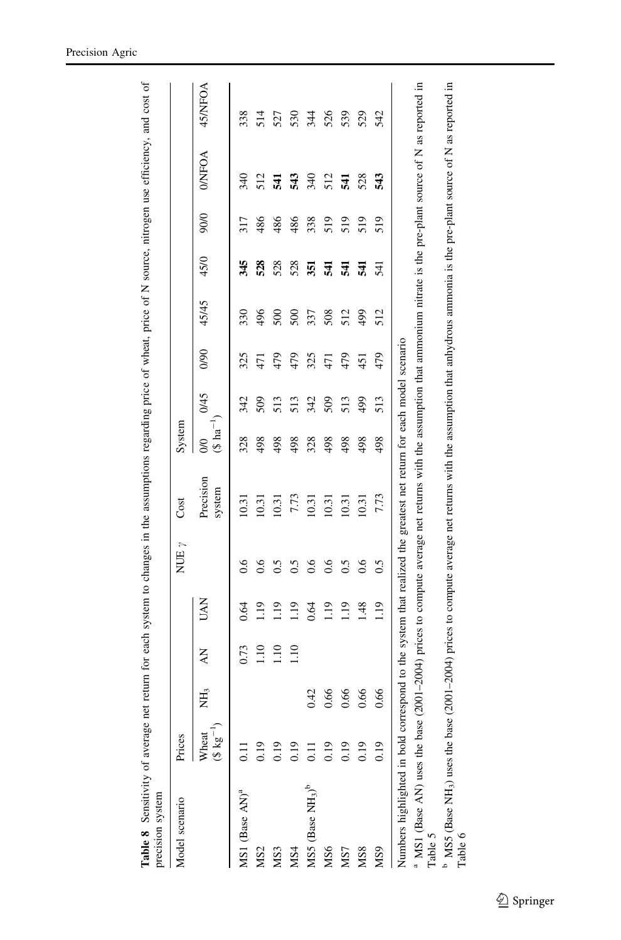<span id="page-14-0"></span>

| Model scenario                                                                                                                                                                                                                        | Prices                         |                 |      |                | NUE $\gamma$ | Cost                                                                                                                                                                                                                                                                                 | System                            |      |      |       |      |      |               |        |
|---------------------------------------------------------------------------------------------------------------------------------------------------------------------------------------------------------------------------------------|--------------------------------|-----------------|------|----------------|--------------|--------------------------------------------------------------------------------------------------------------------------------------------------------------------------------------------------------------------------------------------------------------------------------------|-----------------------------------|------|------|-------|------|------|---------------|--------|
|                                                                                                                                                                                                                                       | $(3 \text{ kg}^{-1})$<br>Wheat | NH <sub>3</sub> | ΚŅ   | <b>UAN</b>     |              | Precision<br>system                                                                                                                                                                                                                                                                  | $(8 \text{ ha}^{-1})$<br>$\infty$ | 0/45 | 0/90 | 45/45 | 45/0 | 90/0 | <b>O/NFOA</b> | 45NFOA |
| MS1 (Base AN) <sup>a</sup>                                                                                                                                                                                                            |                                |                 | 0.73 | 0.64           | 0.6          | 10.31                                                                                                                                                                                                                                                                                | 328                               | 342  | 325  | 330   | 345  | 317  | 340           | 338    |
| MS <sub>2</sub>                                                                                                                                                                                                                       | 0.19                           |                 | 1.10 | $\frac{19}{2}$ | 0.6          | 10.31                                                                                                                                                                                                                                                                                | 498                               | 509  | 5    | 496   | 528  | 486  | 512           | 514    |
| MS <sub>3</sub>                                                                                                                                                                                                                       | 0.19                           |                 | 1.10 | 91             | 0.5          | 10.31                                                                                                                                                                                                                                                                                | 498                               | 513  | 479  | 500   | 528  | 486  | 541           | 527    |
| MS4                                                                                                                                                                                                                                   | 0.19                           |                 | 1.10 | 91             | 0.5          | 7.73                                                                                                                                                                                                                                                                                 | 498                               | 513  | 479  | 500   | 528  | 486  | 543           | 530    |
| MS5 (Base NH <sub>3</sub> ) <sup>b</sup>                                                                                                                                                                                              | $\Xi$                          | 0.42            |      | 0.64           | 0.6          | 10.31                                                                                                                                                                                                                                                                                | 328                               | 342  | 325  | 337   | 351  | 338  | 340           | 344    |
| MS6                                                                                                                                                                                                                                   | 0.19                           | 0.66            |      | 1.19           | 0.6          | 10.31                                                                                                                                                                                                                                                                                | 498                               | 509  | 471  | 508   | 541  | 519  | 512           | 526    |
| MS7                                                                                                                                                                                                                                   | 0.19                           | 0.66            |      | 1.19           | 0.5          | 10.31                                                                                                                                                                                                                                                                                | 498                               | 513  | 479  | 512   | 541  | 519  | 541           | 539    |
| MS8                                                                                                                                                                                                                                   | 0.19                           | 0.66            |      | 1.48           | 0.6          | 10.31                                                                                                                                                                                                                                                                                | 498                               | 499  | 451  | 499   | 541  | 519  | 528           | 529    |
| MS <sub>9</sub>                                                                                                                                                                                                                       | 0.19                           | 0.66            |      | 1.19           | 0.5          | 7.73                                                                                                                                                                                                                                                                                 | 498                               | 513  | 479  | 512   | 541  | 519  | 543           | 542    |
| Numbers highlighted in bold correspond to the system that realized the greatest net return for each model scenario<br><sup>b</sup> MS5 (Base NH <sub>3</sub> ) uses the base (<br>a MS1 (Base AN) uses the base<br>Table 5<br>Table 6 |                                |                 |      |                |              | 2001–2004) prices to compute average net returns with the assumption that ammonium nitrate is the pre-plant source of N as reported in<br>$(2001-2004)$ prices to compute average net returns with the assumption that anhydrous ammonia is the pre-plant source of N as reported in |                                   |      |      |       |      |      |               |        |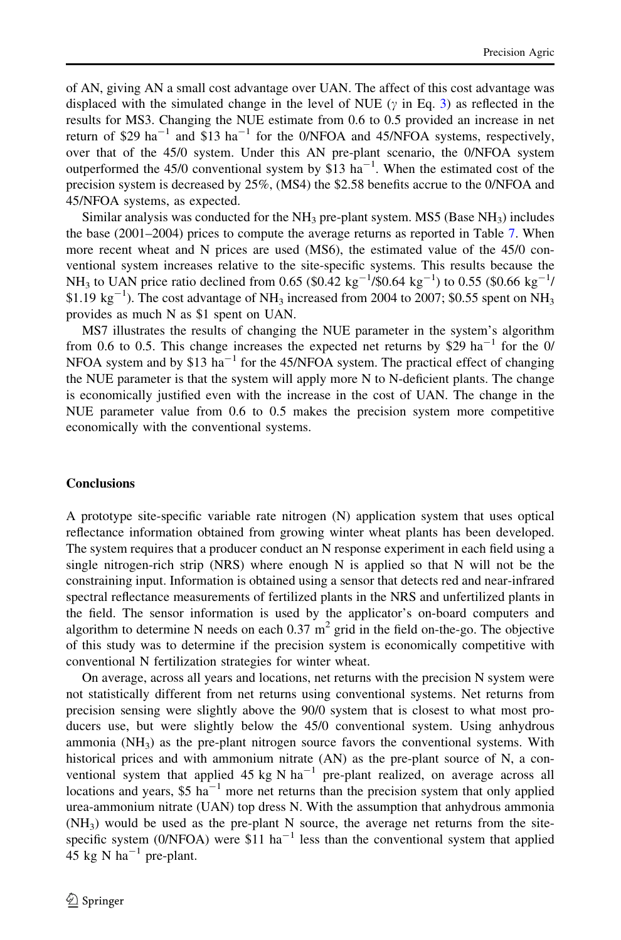of AN, giving AN a small cost advantage over UAN. The affect of this cost advantage was displaced with the simulated change in the level of NUE ( $\gamma$  in Eq. [3](#page-5-0)) as reflected in the results for MS3. Changing the NUE estimate from 0.6 to 0.5 provided an increase in net return of \$29 ha<sup>-1</sup> and \$13 ha<sup>-1</sup> for the 0/NFOA and 45/NFOA systems, respectively, over that of the 45/0 system. Under this AN pre-plant scenario, the 0/NFOA system outperformed the  $45/0$  conventional system by \$13 ha<sup>-1</sup>. When the estimated cost of the precision system is decreased by 25%, (MS4) the \$2.58 benefits accrue to the 0/NFOA and 45/NFOA systems, as expected.

Similar analysis was conducted for the  $NH_3$  pre-plant system. MS5 (Base  $NH_3$ ) includes the base (2001–2004) prices to compute the average returns as reported in Table [7.](#page-13-0) When more recent wheat and N prices are used (MS6), the estimated value of the 45/0 conventional system increases relative to the site-specific systems. This results because the NH<sub>3</sub> to UAN price ratio declined from 0.65 (\$0.42 kg<sup>-1</sup>/\$0.64 kg<sup>-1</sup>) to 0.55 (\$0.66 kg<sup>-1</sup>/ \$1.19  $\text{kg}^{-1}$ ). The cost advantage of NH<sub>3</sub> increased from 2004 to 2007; \$0.55 spent on NH<sub>3</sub> provides as much N as \$1 spent on UAN.

MS7 illustrates the results of changing the NUE parameter in the system's algorithm from 0.6 to 0.5. This change increases the expected net returns by \$29 ha<sup>-1</sup> for the 0/ NFOA system and by \$13 ha<sup>-1</sup> for the 45/NFOA system. The practical effect of changing the NUE parameter is that the system will apply more N to N-deficient plants. The change is economically justified even with the increase in the cost of UAN. The change in the NUE parameter value from 0.6 to 0.5 makes the precision system more competitive economically with the conventional systems.

# **Conclusions**

A prototype site-specific variable rate nitrogen (N) application system that uses optical reflectance information obtained from growing winter wheat plants has been developed. The system requires that a producer conduct an N response experiment in each field using a single nitrogen-rich strip (NRS) where enough N is applied so that N will not be the constraining input. Information is obtained using a sensor that detects red and near-infrared spectral reflectance measurements of fertilized plants in the NRS and unfertilized plants in the field. The sensor information is used by the applicator's on-board computers and algorithm to determine N needs on each  $0.37 \text{ m}^2$  grid in the field on-the-go. The objective of this study was to determine if the precision system is economically competitive with conventional N fertilization strategies for winter wheat.

On average, across all years and locations, net returns with the precision N system were not statistically different from net returns using conventional systems. Net returns from precision sensing were slightly above the 90/0 system that is closest to what most producers use, but were slightly below the 45/0 conventional system. Using anhydrous ammonia  $(NH<sub>3</sub>)$  as the pre-plant nitrogen source favors the conventional systems. With historical prices and with ammonium nitrate (AN) as the pre-plant source of N, a conventional system that applied 45 kg N ha<sup>-1</sup> pre-plant realized, on average across all locations and years,  $$5 \text{ ha}^{-1}$  more net returns than the precision system that only applied urea-ammonium nitrate (UAN) top dress N. With the assumption that anhydrous ammonia  $(NH<sub>3</sub>)$  would be used as the pre-plant N source, the average net returns from the sitespecific system (0/NFOA) were  $$11$  ha<sup>-1</sup> less than the conventional system that applied 45 kg N ha<sup> $-1$ </sup> pre-plant.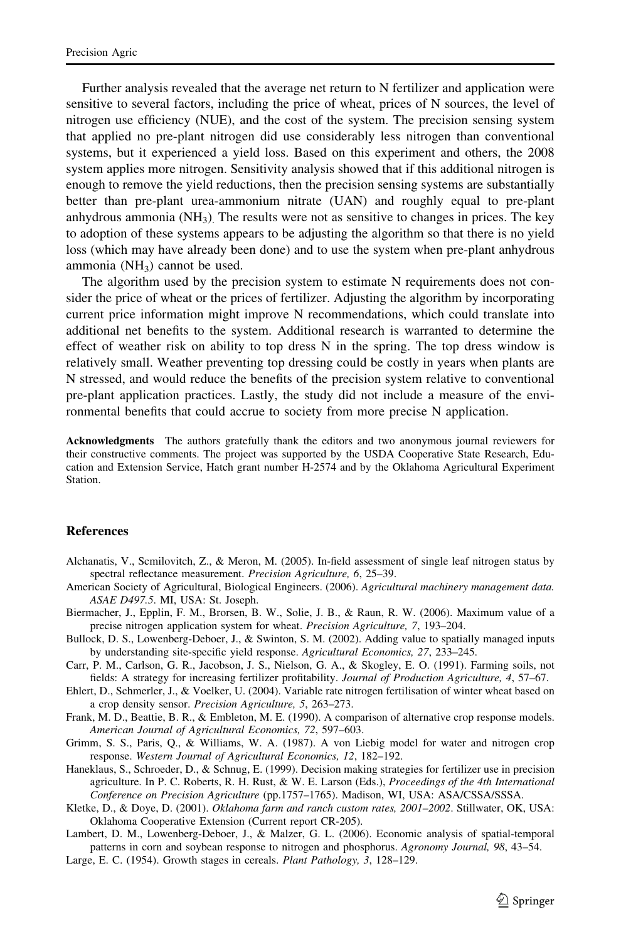<span id="page-16-0"></span>Further analysis revealed that the average net return to N fertilizer and application were sensitive to several factors, including the price of wheat, prices of N sources, the level of nitrogen use efficiency (NUE), and the cost of the system. The precision sensing system that applied no pre-plant nitrogen did use considerably less nitrogen than conventional systems, but it experienced a yield loss. Based on this experiment and others, the 2008 system applies more nitrogen. Sensitivity analysis showed that if this additional nitrogen is enough to remove the yield reductions, then the precision sensing systems are substantially better than pre-plant urea-ammonium nitrate (UAN) and roughly equal to pre-plant anhydrous ammonia ( $NH<sub>3</sub>$ ). The results were not as sensitive to changes in prices. The key to adoption of these systems appears to be adjusting the algorithm so that there is no yield loss (which may have already been done) and to use the system when pre-plant anhydrous ammonia ( $NH<sub>3</sub>$ ) cannot be used.

The algorithm used by the precision system to estimate N requirements does not consider the price of wheat or the prices of fertilizer. Adjusting the algorithm by incorporating current price information might improve N recommendations, which could translate into additional net benefits to the system. Additional research is warranted to determine the effect of weather risk on ability to top dress N in the spring. The top dress window is relatively small. Weather preventing top dressing could be costly in years when plants are N stressed, and would reduce the benefits of the precision system relative to conventional pre-plant application practices. Lastly, the study did not include a measure of the environmental benefits that could accrue to society from more precise N application.

Acknowledgments The authors gratefully thank the editors and two anonymous journal reviewers for their constructive comments. The project was supported by the USDA Cooperative State Research, Education and Extension Service, Hatch grant number H-2574 and by the Oklahoma Agricultural Experiment Station.

# References

- Alchanatis, V., Scmilovitch, Z., & Meron, M. (2005). In-field assessment of single leaf nitrogen status by spectral reflectance measurement. Precision Agriculture, 6, 25–39.
- American Society of Agricultural, Biological Engineers. (2006). Agricultural machinery management data. ASAE D497.5. MI, USA: St. Joseph.
- Biermacher, J., Epplin, F. M., Brorsen, B. W., Solie, J. B., & Raun, R. W. (2006). Maximum value of a precise nitrogen application system for wheat. Precision Agriculture, 7, 193–204.
- Bullock, D. S., Lowenberg-Deboer, J., & Swinton, S. M. (2002). Adding value to spatially managed inputs by understanding site-specific yield response. Agricultural Economics, 27, 233–245.
- Carr, P. M., Carlson, G. R., Jacobson, J. S., Nielson, G. A., & Skogley, E. O. (1991). Farming soils, not fields: A strategy for increasing fertilizer profitability. Journal of Production Agriculture, 4, 57–67.
- Ehlert, D., Schmerler, J., & Voelker, U. (2004). Variable rate nitrogen fertilisation of winter wheat based on a crop density sensor. Precision Agriculture, 5, 263–273.
- Frank, M. D., Beattie, B. R., & Embleton, M. E. (1990). A comparison of alternative crop response models. American Journal of Agricultural Economics, 72, 597–603.
- Grimm, S. S., Paris, Q., & Williams, W. A. (1987). A von Liebig model for water and nitrogen crop response. Western Journal of Agricultural Economics, 12, 182–192.
- Haneklaus, S., Schroeder, D., & Schnug, E. (1999). Decision making strategies for fertilizer use in precision agriculture. In P. C. Roberts, R. H. Rust, & W. E. Larson (Eds.), Proceedings of the 4th International Conference on Precision Agriculture (pp.1757–1765). Madison, WI, USA: ASA/CSSA/SSSA.
- Kletke, D., & Doye, D. (2001). Oklahoma farm and ranch custom rates, 2001–2002. Stillwater, OK, USA: Oklahoma Cooperative Extension (Current report CR-205).
- Lambert, D. M., Lowenberg-Deboer, J., & Malzer, G. L. (2006). Economic analysis of spatial-temporal patterns in corn and soybean response to nitrogen and phosphorus. Agronomy Journal, 98, 43–54.
- Large, E. C. (1954). Growth stages in cereals. Plant Pathology, 3, 128–129.